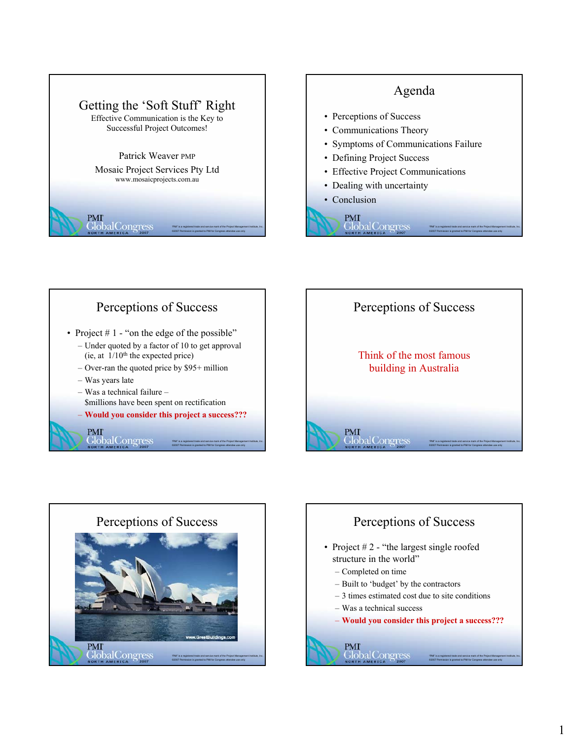

#### Agenda

- Perceptions of Success
- Communications Theory
- Symptoms of Communications Failure
- Defining Project Success
- Effective Project Communications
- Dealing with uncertainty

Global Congress

• Conclusion **PMI** 



"PMI" is a registered trade and service mark of the Project Management Institute, Inc. ©2007 Permission is granted to PMI for Congress attendee use only



"PMI" is a registered trade and service mark of the Project Management Institute, Inc. ©2007 Permission is granted to PMI for Congress attendee use only



**CODAL**<br>Congress

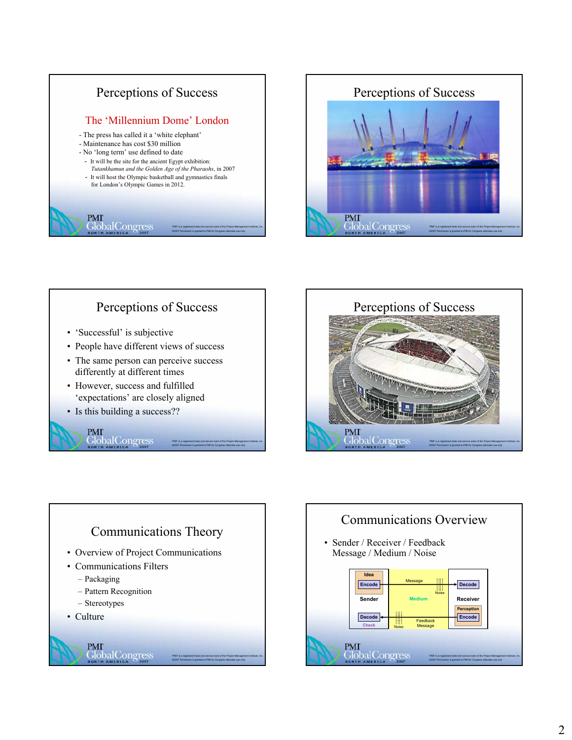



#### Perceptions of Success

"PMI" is a registered trade and service mark of the Project Management Institute, Inc. ©2007 Permission is granted to PMI for Congress attendee use only

- 'Successful' is subjective
- People have different views of success
- The same person can perceive success differently at different times
- However, success and fulfilled 'expectations' are closely aligned
- Is this building a success??

**CODAL**<br>Congress

**PMI** 

# Perceptions of Success PMI

**GlobalCongress** 





"PMI" is a registered trade and service mark of the Project Management Institute, Inc. ©2007 Permission is granted to PMI for Congress attendee use only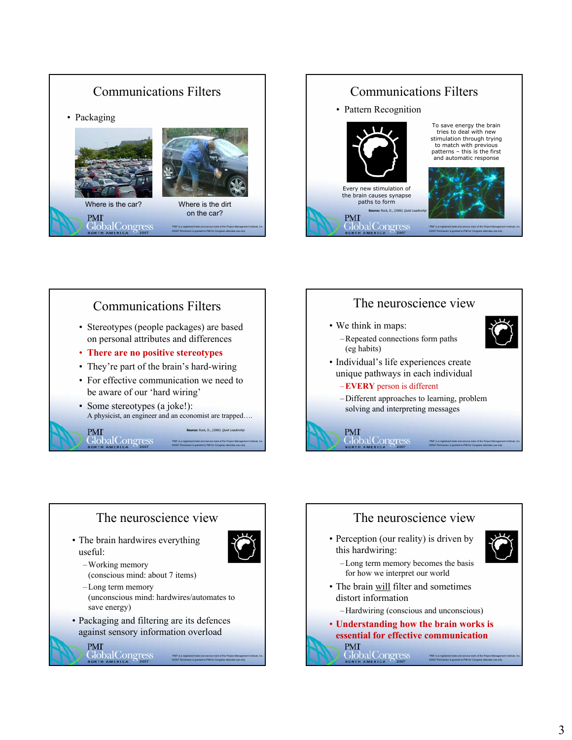







"PMI" is a registered trade and service mark of the Project Management Institute, Inc. ©2007 Permission is granted to PMI for Congress attendee use only

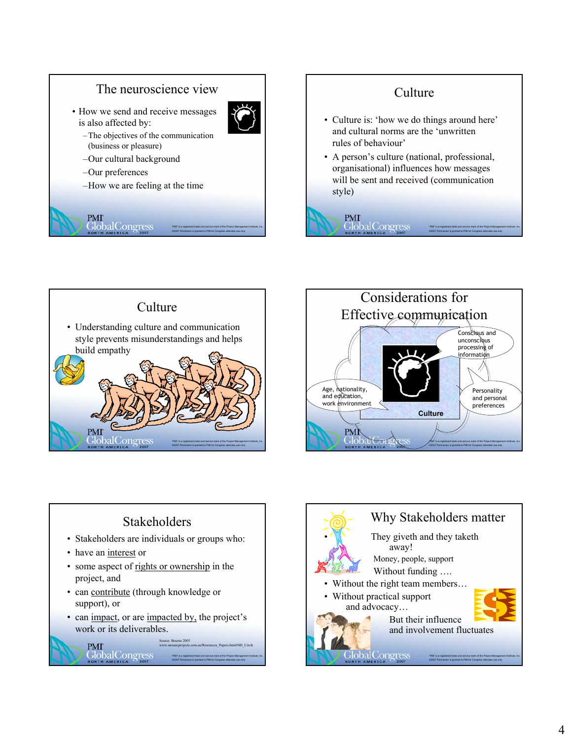





#### **Stakeholders** • Stakeholders are individuals or groups who: • have an interest or • some aspect of rights or ownership in the project, and • can contribute (through knowledge or support), or • can impact, or are impacted by, the project's work or its deliverables. Source: Bourne 2005 **PMI** www.mosaicprojects.com.au/Resources\_Papers.html#SH\_Circle **Global** Congress "PMI" is a registered trade and service mark of the Project Management Institute, Inc.

©2007 Permission is granted to PMI for Congress attendee use only

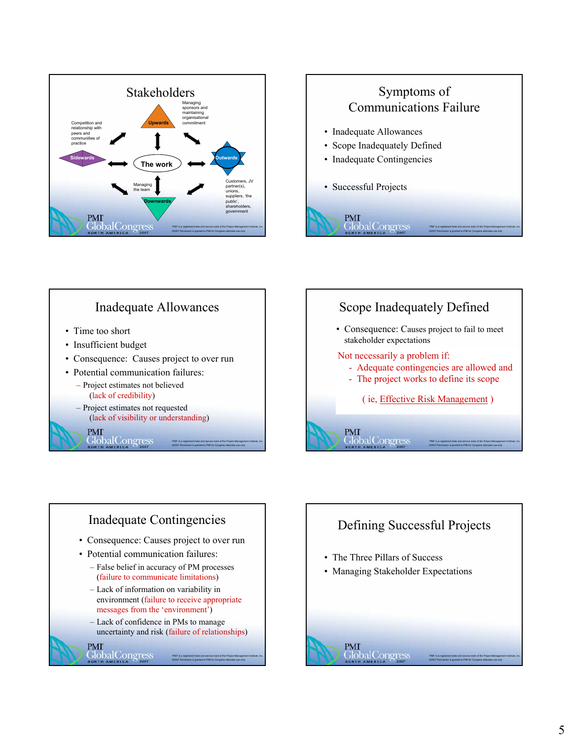









## Defining Successful Projects

"PMI" is a registered trade and service mark of the Project Management Institute, Inc. ©2007 Permission is granted to PMI for Congress attendee use only

- The Three Pillars of Success
- Managing Stakeholder Expectations

# **PMI**<br>Global Congress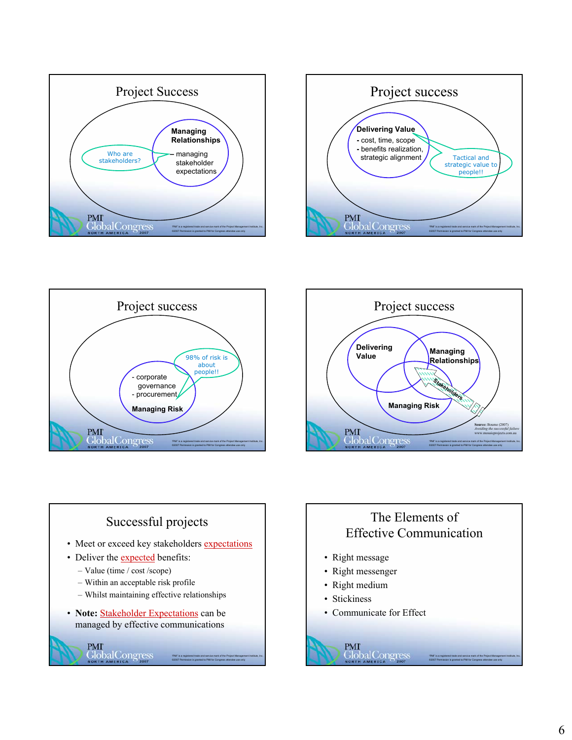









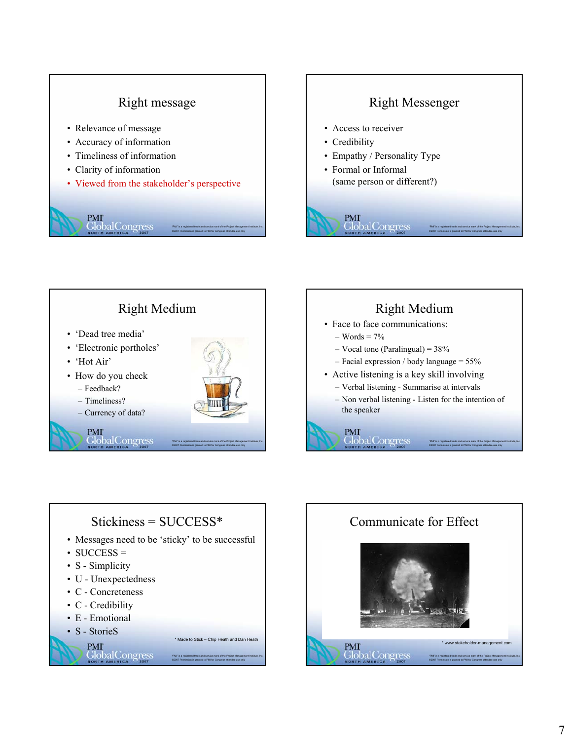## Right message

- Relevance of message
- Accuracy of information
- Timeliness of information
- Clarity of information
- Viewed from the stakeholder's perspective



# Right Messenger • Access to receiver • Credibility • Empathy / Personality Type • Formal or Informal (same person or different?) PMI<br>Global Congres "PMI" is a registered trade and service mark of the Project Management Institute, Inc. ©2007 Permission is granted to PMI for Congress attendee use only





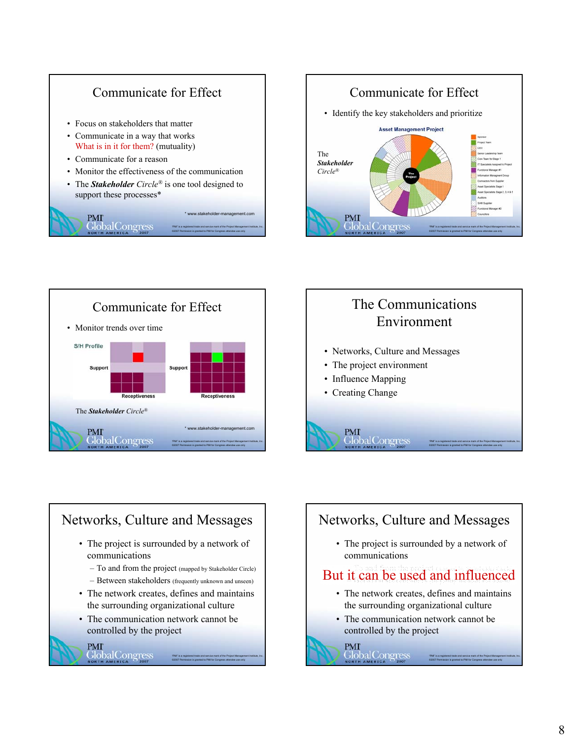





# The Communications Environment

"PMI" is a registered trade and service mark of the Project Management Institute, Inc. ©2007 Permission is granted to PMI for Congress attendee use only

- Networks, Culture and Messages
- The project environment

**Global** Congress

- Influence Mapping
- Creating Change

PMI



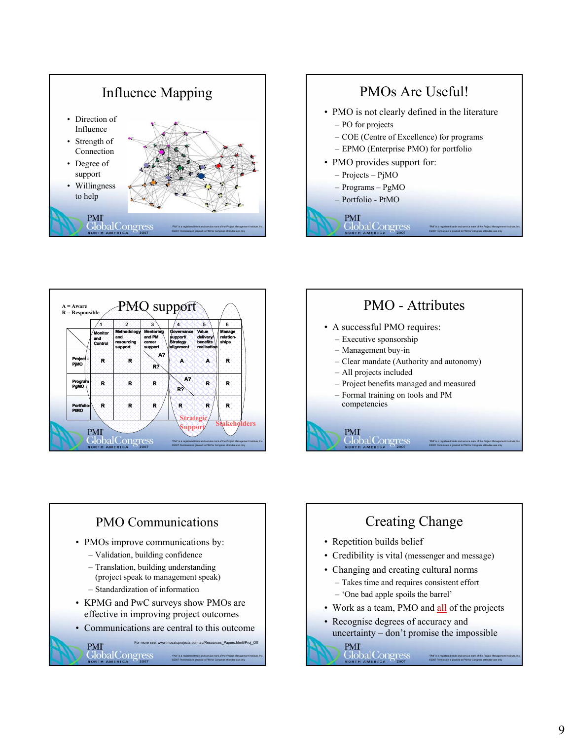





#### PMO - Attributes • A successful PMO requires: – Executive sponsorship – Management buy-in – Clear mandate (Authority and autonomy) – All projects included – Project benefits managed and measured – Formal training on tools and PM

"PMI" is a registered trade and service mark of the Project Management Institute, Inc. ©2007 Permission is granted to PMI for Congress attendee use only

competencies

PMI

**Global** Congress



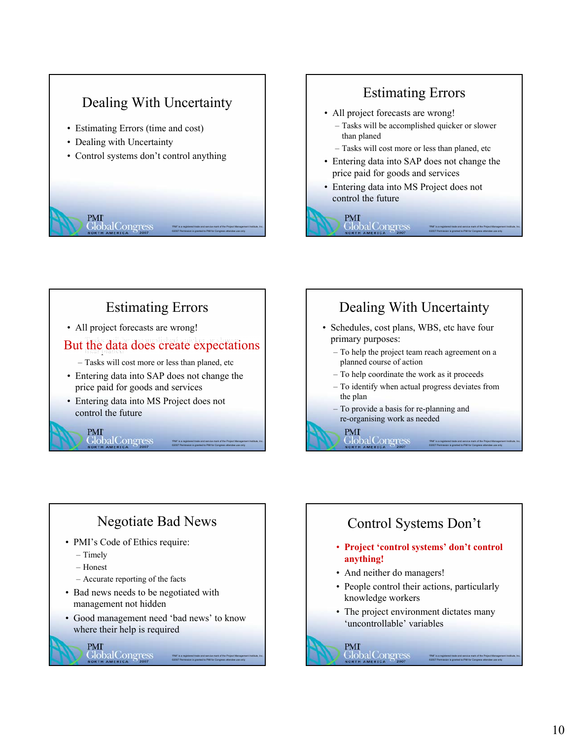# Dealing With Uncertainty

- Estimating Errors (time and cost)
- Dealing with Uncertainty
- Control systems don't control anything



# Estimating Errors

- All project forecasts are wrong!
	- Tasks will be accomplished quicker or slower than planed
	- Tasks will cost more or less than planed, etc
- Entering data into SAP does not change the price paid for goods and services

"PMI" is a registered trade and service mark of the Project Management Institute, Inc. ©2007 Permission is granted to PMI for Congress attendee use only

"PMI" is a registered trade and service mark of the Project Management Institute, Inc. ©2007 Permission is granted to PMI for Congress attendee use only

"PMI" is a registered trade and service mark of the Project Management Institute, Inc. ©2007 Permission is granted to PMI for Congress attendee use only

• Entering data into MS Project does not control the future



# Estimating Errors

• All project forecasts are wrong!

– Tasks will be accomplished quicker or slower But the data does create expectations

– Tasks will cost more or less than planed, etc

• Entering data into SAP does not change the price paid for goods and services

> "PMI" is a registered trade and service mark of the Project Management Institute, Inc. ©2007 Permission is granted to PMI for Congress attendee use only

> "PMI" is a registered trade and service mark of the Project Management Institute, Inc. ©2007 Permission is granted to PMI for Congress attendee use only

• Entering data into MS Project does not control the future

# Dealing With Uncertainty

- Schedules, cost plans, WBS, etc have four primary purposes:
	- To help the project team reach agreement on a planned course of action
	- To help coordinate the work as it proceeds
	- To identify when actual progress deviates from the plan
	- To provide a basis for re-planning and re-organising work as needed

#### **PMI GlobalCongress**

#### Negotiate Bad News

- PMI's Code of Ethics require:
	- Timely

**PMI** 

**GlobalCongress** 

- Honest
- Accurate reporting of the facts

PMI<br>GlobalCongress

- Bad news needs to be negotiated with management not hidden
- Good management need 'bad news' to know where their help is required

## Control Systems Don't

- **Project 'control systems' don't control anything!**
- And neither do managers!

**PMI** 

GlobalCongress

- People control their actions, particularly knowledge workers
- The project environment dictates many 'uncontrollable' variables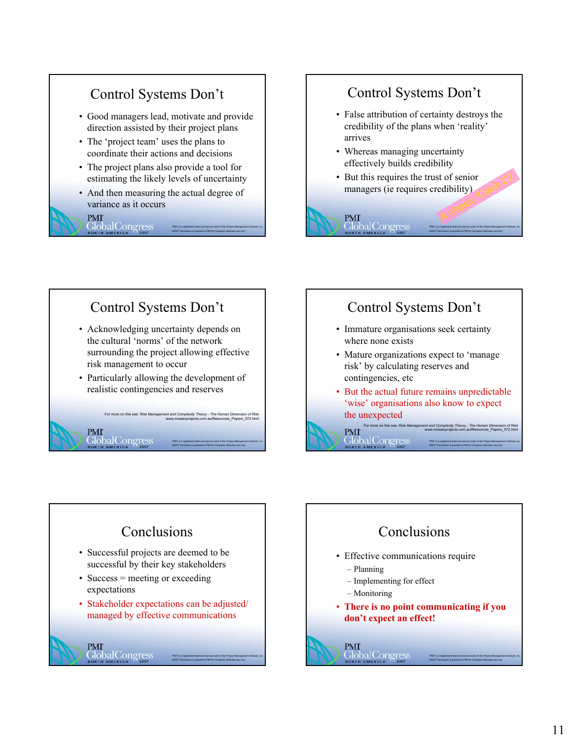# Control Systems Don't

- Good managers lead, motivate and provide direction assisted by their project plans
- The 'project team' uses the plans to coordinate their actions and decisions
- The project plans also provide a tool for estimating the likely levels of uncertainty
- And then measuring the actual degree of variance as it occurs

#### **PMI Global** Congress

**PMI** 

**GlobalCongress** 

## Control Systems Don't

- False attribution of certainty destroys the credibility of the plans when 'reality' arrives
- Whereas managing uncertainty effectively builds credibility

**PMI** 

**Global** Congres

• But this requires the trust of senior managers (ie requires credibility) t of senior<br>edibility)<br>A classic Catch 22

> "PMI" is a registered trade and service mark of the Project Management Institute, Inc. ©2007 Permission is granted to PMI for Congress attendee use only

> "PMI" is a registered trade and service mark of the Project Management Institute, Inc. ©2007 Permission is granted to PMI for Congress attendee use only

#### Control Systems Don't • Acknowledging uncertainty depends on the cultural 'norms' of the network surrounding the project allowing effective risk management to occur

• Particularly allowing the development of realistic contingencies and reserves

> For more on this see: *Risk Management and Complexity Theory - The Human Dimension of Risk* www.mosaicprojects.com.au/Resources\_Papers\_072.html

> > "PMI" is a registered trade and service mark of the Project Management Institute, Inc. ©2007 Permission is granted to PMI for Congress attendee use only

> > "PMI" is a registered trade and service mark of the Project Management Institute, Inc. ©2007 Permission is granted to PMI for Congress attendee use only

# Control Systems Don't

- Immature organisations seek certainty where none exists
- Mature organizations expect to 'manage risk' by calculating reserves and contingencies, etc
- But the actual future remains unpredictable 'wise' organisations also know to expect the unexpected

For more on this see: *Risk Management and Complexity Theory - The Human Dimension of Risk* www.mosaicprojects.com.au/Resources\_Papers\_072.html **PMI** 

GlobalCongres

#### Conclusions • Successful projects are deemed to be successful by their key stakeholders • Success = meeting or exceeding expectations • Stakeholder expectations can be adjusted/ managed by effective communications **PMI**<br>GlobalCongress "PMI" is a registered trade and service mark of the Project Management Institute, Inc. ©2007 Permission is granted to PMI for Congress attendee use only